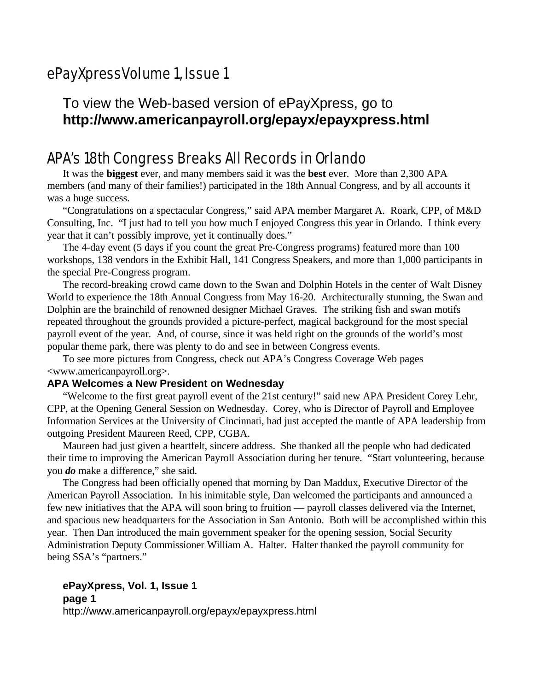# ePayXpressVolume 1, Issue 1

## To view the Web-based version of ePayXpress, go to **http://www.americanpayroll.org/epayx/epayxpress.html**

## APA's 18th Congress Breaks All Records in Orlando

It was the **biggest** ever, and many members said it was the **best** ever. More than 2,300 APA members (and many of their families!) participated in the 18th Annual Congress, and by all accounts it was a huge success.

"Congratulations on a spectacular Congress," said APA member Margaret A. Roark, CPP, of M&D Consulting, Inc. "I just had to tell you how much I enjoyed Congress this year in Orlando. I think every year that it can't possibly improve, yet it continually does."

The 4-day event (5 days if you count the great Pre-Congress programs) featured more than 100 workshops, 138 vendors in the Exhibit Hall, 141 Congress Speakers, and more than 1,000 participants in the special Pre-Congress program.

The record-breaking crowd came down to the Swan and Dolphin Hotels in the center of Walt Disney World to experience the 18th Annual Congress from May 16-20. Architecturally stunning, the Swan and Dolphin are the brainchild of renowned designer Michael Graves. The striking fish and swan motifs repeated throughout the grounds provided a picture-perfect, magical background for the most special payroll event of the year. And, of course, since it was held right on the grounds of the world's most popular theme park, there was plenty to do and see in between Congress events.

To see more pictures from Congress, check out APA's Congress Coverage Web pages <www.americanpayroll.org>.

#### **APA Welcomes a New President on Wednesday**

"Welcome to the first great payroll event of the 21st century!" said new APA President Corey Lehr, CPP, at the Opening General Session on Wednesday. Corey, who is Director of Payroll and Employee Information Services at the University of Cincinnati, had just accepted the mantle of APA leadership from outgoing President Maureen Reed, CPP, CGBA.

Maureen had just given a heartfelt, sincere address. She thanked all the people who had dedicated their time to improving the American Payroll Association during her tenure. "Start volunteering, because you *do* make a difference," she said.

The Congress had been officially opened that morning by Dan Maddux, Executive Director of the American Payroll Association. In his inimitable style, Dan welcomed the participants and announced a few new initiatives that the APA will soon bring to fruition — payroll classes delivered via the Internet, and spacious new headquarters for the Association in San Antonio. Both will be accomplished within this year. Then Dan introduced the main government speaker for the opening session, Social Security Administration Deputy Commissioner William A. Halter. Halter thanked the payroll community for being SSA's "partners."

#### **ePayXpress, Vol. 1, Issue 1 page 1**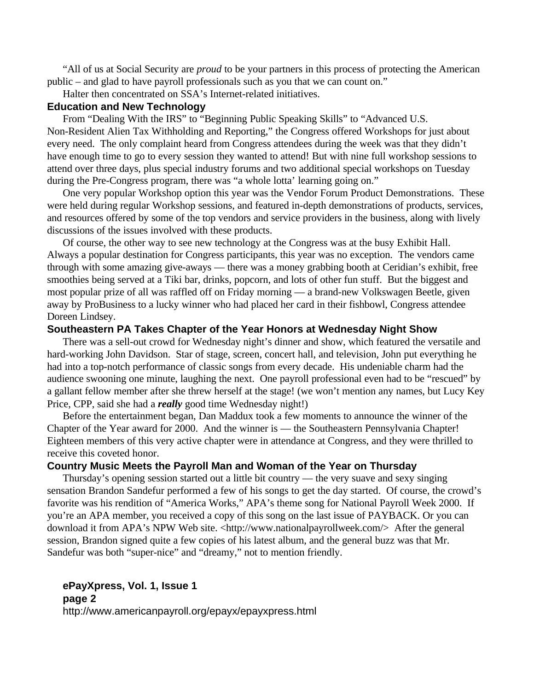"All of us at Social Security are *proud* to be your partners in this process of protecting the American public – and glad to have payroll professionals such as you that we can count on."

Halter then concentrated on SSA's Internet-related initiatives.

#### **Education and New Technology**

From "Dealing With the IRS" to "Beginning Public Speaking Skills" to "Advanced U.S. Non-Resident Alien Tax Withholding and Reporting," the Congress offered Workshops for just about every need. The only complaint heard from Congress attendees during the week was that they didn't have enough time to go to every session they wanted to attend! But with nine full workshop sessions to attend over three days, plus special industry forums and two additional special workshops on Tuesday during the Pre-Congress program, there was "a whole lotta' learning going on."

One very popular Workshop option this year was the Vendor Forum Product Demonstrations. These were held during regular Workshop sessions, and featured in-depth demonstrations of products, services, and resources offered by some of the top vendors and service providers in the business, along with lively discussions of the issues involved with these products.

Of course, the other way to see new technology at the Congress was at the busy Exhibit Hall. Always a popular destination for Congress participants, this year was no exception. The vendors came through with some amazing give-aways — there was a money grabbing booth at Ceridian's exhibit, free smoothies being served at a Tiki bar, drinks, popcorn, and lots of other fun stuff. But the biggest and most popular prize of all was raffled off on Friday morning — a brand-new Volkswagen Beetle, given away by ProBusiness to a lucky winner who had placed her card in their fishbowl, Congress attendee Doreen Lindsey.

#### **Southeastern PA Takes Chapter of the Year Honors at Wednesday Night Show**

There was a sell-out crowd for Wednesday night's dinner and show, which featured the versatile and hard-working John Davidson. Star of stage, screen, concert hall, and television, John put everything he had into a top-notch performance of classic songs from every decade. His undeniable charm had the audience swooning one minute, laughing the next. One payroll professional even had to be "rescued" by a gallant fellow member after she threw herself at the stage! (we won't mention any names, but Lucy Key Price, CPP, said she had a *really* good time Wednesday night!)

Before the entertainment began, Dan Maddux took a few moments to announce the winner of the Chapter of the Year award for 2000. And the winner is — the Southeastern Pennsylvania Chapter! Eighteen members of this very active chapter were in attendance at Congress, and they were thrilled to receive this coveted honor.

#### **Country Music Meets the Payroll Man and Woman of the Year on Thursday**

Thursday's opening session started out a little bit country — the very suave and sexy singing sensation Brandon Sandefur performed a few of his songs to get the day started. Of course, the crowd's favorite was his rendition of "America Works," APA's theme song for National Payroll Week 2000. If you're an APA member, you received a copy of this song on the last issue of PAYBACK. Or you can download it from APA's NPW Web site. <http://www.nationalpayrollweek.com/> After the general session, Brandon signed quite a few copies of his latest album, and the general buzz was that Mr. Sandefur was both "super-nice" and "dreamy," not to mention friendly.

#### **ePayXpress, Vol. 1, Issue 1 page 2**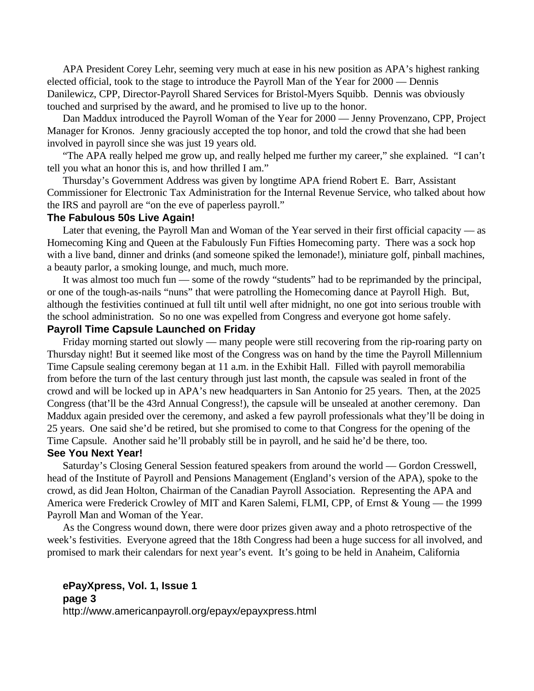APA President Corey Lehr, seeming very much at ease in his new position as APA's highest ranking elected official, took to the stage to introduce the Payroll Man of the Year for 2000 — Dennis Danilewicz, CPP, Director-Payroll Shared Services for Bristol-Myers Squibb. Dennis was obviously touched and surprised by the award, and he promised to live up to the honor.

Dan Maddux introduced the Payroll Woman of the Year for 2000 — Jenny Provenzano, CPP, Project Manager for Kronos. Jenny graciously accepted the top honor, and told the crowd that she had been involved in payroll since she was just 19 years old.

"The APA really helped me grow up, and really helped me further my career," she explained. "I can't tell you what an honor this is, and how thrilled I am."

Thursday's Government Address was given by longtime APA friend Robert E. Barr, Assistant Commissioner for Electronic Tax Administration for the Internal Revenue Service, who talked about how the IRS and payroll are "on the eve of paperless payroll."

#### **The Fabulous 50s Live Again!**

Later that evening, the Payroll Man and Woman of the Year served in their first official capacity — as Homecoming King and Queen at the Fabulously Fun Fifties Homecoming party. There was a sock hop with a live band, dinner and drinks (and someone spiked the lemonade!), miniature golf, pinball machines, a beauty parlor, a smoking lounge, and much, much more.

It was almost too much fun — some of the rowdy "students" had to be reprimanded by the principal, or one of the tough-as-nails "nuns" that were patrolling the Homecoming dance at Payroll High. But, although the festivities continued at full tilt until well after midnight, no one got into serious trouble with the school administration. So no one was expelled from Congress and everyone got home safely.

#### **Payroll Time Capsule Launched on Friday**

Friday morning started out slowly — many people were still recovering from the rip-roaring party on Thursday night! But it seemed like most of the Congress was on hand by the time the Payroll Millennium Time Capsule sealing ceremony began at 11 a.m. in the Exhibit Hall. Filled with payroll memorabilia from before the turn of the last century through just last month, the capsule was sealed in front of the crowd and will be locked up in APA's new headquarters in San Antonio for 25 years. Then, at the 2025 Congress (that'll be the 43rd Annual Congress!), the capsule will be unsealed at another ceremony. Dan Maddux again presided over the ceremony, and asked a few payroll professionals what they'll be doing in 25 years. One said she'd be retired, but she promised to come to that Congress for the opening of the Time Capsule. Another said he'll probably still be in payroll, and he said he'd be there, too.

#### **See You Next Year!**

Saturday's Closing General Session featured speakers from around the world — Gordon Cresswell, head of the Institute of Payroll and Pensions Management (England's version of the APA), spoke to the crowd, as did Jean Holton, Chairman of the Canadian Payroll Association. Representing the APA and America were Frederick Crowley of MIT and Karen Salemi, FLMI, CPP, of Ernst & Young — the 1999 Payroll Man and Woman of the Year.

As the Congress wound down, there were door prizes given away and a photo retrospective of the week's festivities. Everyone agreed that the 18th Congress had been a huge success for all involved, and promised to mark their calendars for next year's event. It's going to be held in Anaheim, California

## **ePayXpress, Vol. 1, Issue 1 page 3**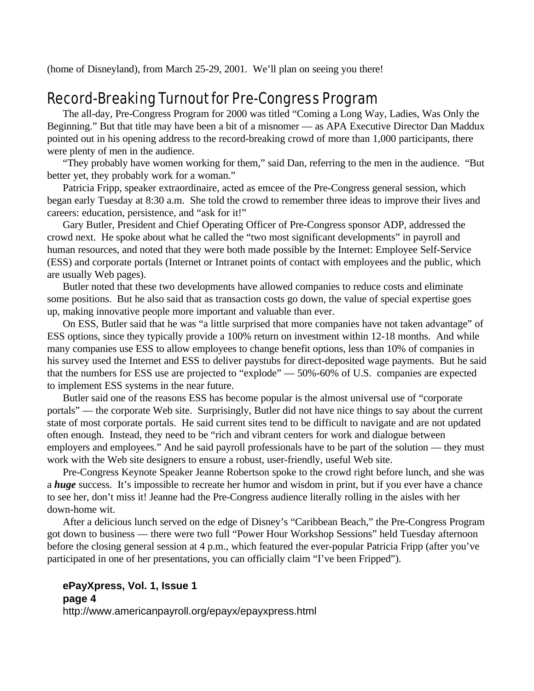(home of Disneyland), from March 25-29, 2001. We'll plan on seeing you there!

# Record-Breaking Turnout for Pre-Congress Program

The all-day, Pre-Congress Program for 2000 was titled "Coming a Long Way, Ladies, Was Only the Beginning." But that title may have been a bit of a misnomer — as APA Executive Director Dan Maddux pointed out in his opening address to the record-breaking crowd of more than 1,000 participants, there were plenty of men in the audience.

"They probably have women working for them," said Dan, referring to the men in the audience. "But better yet, they probably work for a woman."

Patricia Fripp, speaker extraordinaire, acted as emcee of the Pre-Congress general session, which began early Tuesday at 8:30 a.m. She told the crowd to remember three ideas to improve their lives and careers: education, persistence, and "ask for it!"

Gary Butler, President and Chief Operating Officer of Pre-Congress sponsor ADP, addressed the crowd next. He spoke about what he called the "two most significant developments" in payroll and human resources, and noted that they were both made possible by the Internet: Employee Self-Service (ESS) and corporate portals (Internet or Intranet points of contact with employees and the public, which are usually Web pages).

Butler noted that these two developments have allowed companies to reduce costs and eliminate some positions. But he also said that as transaction costs go down, the value of special expertise goes up, making innovative people more important and valuable than ever.

On ESS, Butler said that he was "a little surprised that more companies have not taken advantage" of ESS options, since they typically provide a 100% return on investment within 12-18 months. And while many companies use ESS to allow employees to change benefit options, less than 10% of companies in his survey used the Internet and ESS to deliver paystubs for direct-deposited wage payments. But he said that the numbers for ESS use are projected to "explode" — 50%-60% of U.S. companies are expected to implement ESS systems in the near future.

Butler said one of the reasons ESS has become popular is the almost universal use of "corporate portals" — the corporate Web site. Surprisingly, Butler did not have nice things to say about the current state of most corporate portals. He said current sites tend to be difficult to navigate and are not updated often enough. Instead, they need to be "rich and vibrant centers for work and dialogue between employers and employees." And he said payroll professionals have to be part of the solution — they must work with the Web site designers to ensure a robust, user-friendly, useful Web site.

Pre-Congress Keynote Speaker Jeanne Robertson spoke to the crowd right before lunch, and she was a *huge* success. It's impossible to recreate her humor and wisdom in print, but if you ever have a chance to see her, don't miss it! Jeanne had the Pre-Congress audience literally rolling in the aisles with her down-home wit.

After a delicious lunch served on the edge of Disney's "Caribbean Beach," the Pre-Congress Program got down to business — there were two full "Power Hour Workshop Sessions" held Tuesday afternoon before the closing general session at 4 p.m., which featured the ever-popular Patricia Fripp (after you've participated in one of her presentations, you can officially claim "I've been Fripped").

#### **ePayXpress, Vol. 1, Issue 1 page 4**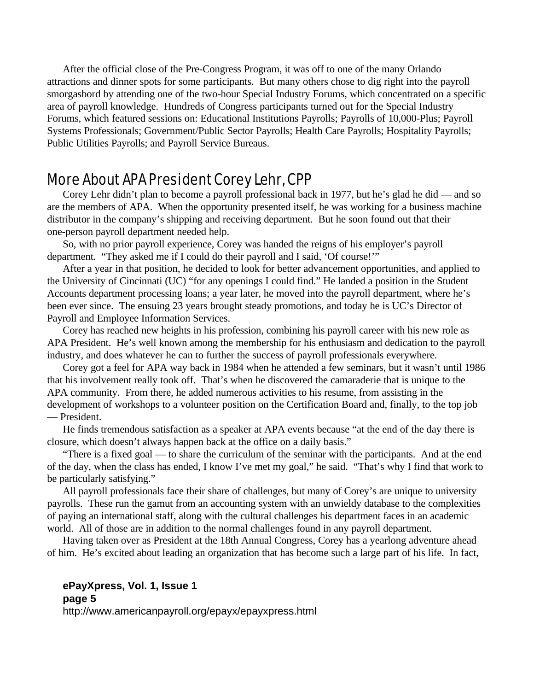After the official close of the Pre-Congress Program, it was off to one of the many Orlando attractions and dinner spots for some participants. But many others chose to dig right into the payroll smorgasbord by attending one of the two-hour Special Industry Forums, which concentrated on a specific area of payroll knowledge. Hundreds of Congress participants turned out for the Special Industry Forums, which featured sessions on: Educational Institutions Payrolls; Payrolls of 10,000-Plus; Payroll Systems Professionals; Government/Public Sector Payrolls; Health Care Payrolls; Hospitality Payrolls; Public Utilities Payrolls; and Payroll Service Bureaus.

## More About APA President Corey Lehr, CPP

Corey Lehr didn't plan to become a payroll professional back in 1977, but he's glad he did — and so are the members of APA. When the opportunity presented itself, he was working for a business machine distributor in the company's shipping and receiving department. But he soon found out that their one-person payroll department needed help.

So, with no prior payroll experience, Corey was handed the reigns of his employer's payroll department. "They asked me if I could do their payroll and I said, 'Of course!'"

After a year in that position, he decided to look for better advancement opportunities, and applied to the University of Cincinnati (UC) "for any openings I could find." He landed a position in the Student Accounts department processing loans; a year later, he moved into the payroll department, where he's been ever since. The ensuing 23 years brought steady promotions, and today he is UC's Director of Payroll and Employee Information Services.

Corey has reached new heights in his profession, combining his payroll career with his new role as APA President. He's well known among the membership for his enthusiasm and dedication to the payroll industry, and does whatever he can to further the success of payroll professionals everywhere.

Corey got a feel for APA way back in 1984 when he attended a few seminars, but it wasn't until 1986 that his involvement really took off. That's when he discovered the camaraderie that is unique to the APA community. From there, he added numerous activities to his resume, from assisting in the development of workshops to a volunteer position on the Certification Board and, finally, to the top job — President.

He finds tremendous satisfaction as a speaker at APA events because "at the end of the day there is closure, which doesn't always happen back at the office on a daily basis."

"There is a fixed goal — to share the curriculum of the seminar with the participants. And at the end of the day, when the class has ended, I know I've met my goal," he said. "That's why I find that work to be particularly satisfying."

All payroll professionals face their share of challenges, but many of Corey's are unique to university payrolls. These run the gamut from an accounting system with an unwieldy database to the complexities of paying an international staff, along with the cultural challenges his department faces in an academic world. All of those are in addition to the normal challenges found in any payroll department.

Having taken over as President at the 18th Annual Congress, Corey has a yearlong adventure ahead of him. He's excited about leading an organization that has become such a large part of his life. In fact,

#### **ePayXpress, Vol. 1, Issue 1 page 5**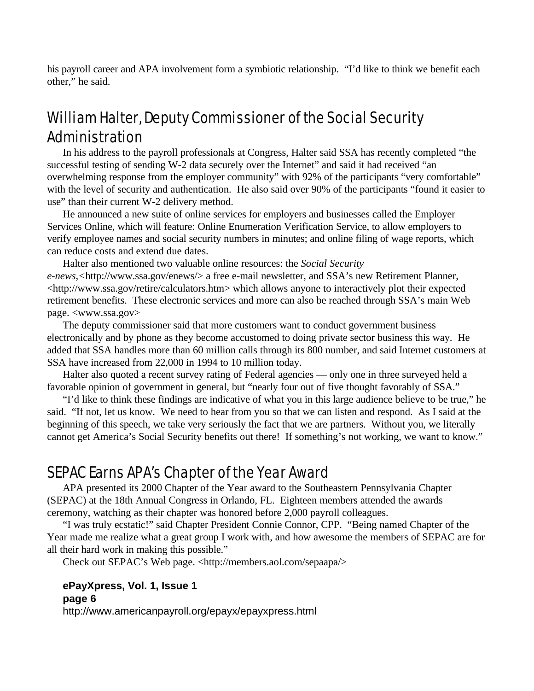his payroll career and APA involvement form a symbiotic relationship. "I'd like to think we benefit each other," he said.

# William Halter, Deputy Commissioner of the Social Security Administration

In his address to the payroll professionals at Congress, Halter said SSA has recently completed "the successful testing of sending W-2 data securely over the Internet" and said it had received "an overwhelming response from the employer community" with 92% of the participants "very comfortable" with the level of security and authentication. He also said over 90% of the participants "found it easier to use" than their current W-2 delivery method.

He announced a new suite of online services for employers and businesses called the Employer Services Online, which will feature: Online Enumeration Verification Service, to allow employers to verify employee names and social security numbers in minutes; and online filing of wage reports, which can reduce costs and extend due dates.

Halter also mentioned two valuable online resources: the *Social Security e-news,<*http://www.ssa.gov/enews/> a free e-mail newsletter, and SSA's new Retirement Planner, <http://www.ssa.gov/retire/calculators.htm> which allows anyone to interactively plot their expected retirement benefits. These electronic services and more can also be reached through SSA's main Web page. <www.ssa.gov>

The deputy commissioner said that more customers want to conduct government business electronically and by phone as they become accustomed to doing private sector business this way. He added that SSA handles more than 60 million calls through its 800 number, and said Internet customers at SSA have increased from 22,000 in 1994 to 10 million today.

Halter also quoted a recent survey rating of Federal agencies — only one in three surveyed held a favorable opinion of government in general, but "nearly four out of five thought favorably of SSA."

"I'd like to think these findings are indicative of what you in this large audience believe to be true," he said. "If not, let us know. We need to hear from you so that we can listen and respond. As I said at the beginning of this speech, we take very seriously the fact that we are partners. Without you, we literally cannot get America's Social Security benefits out there! If something's not working, we want to know."

## SEPAC Earns APA's Chapter of the Year Award

APA presented its 2000 Chapter of the Year award to the Southeastern Pennsylvania Chapter (SEPAC) at the 18th Annual Congress in Orlando, FL. Eighteen members attended the awards ceremony, watching as their chapter was honored before 2,000 payroll colleagues.

"I was truly ecstatic!" said Chapter President Connie Connor, CPP. "Being named Chapter of the Year made me realize what a great group I work with, and how awesome the members of SEPAC are for all their hard work in making this possible."

Check out SEPAC's Web page. <http://members.aol.com/sepaapa/>

#### **ePayXpress, Vol. 1, Issue 1 page 6**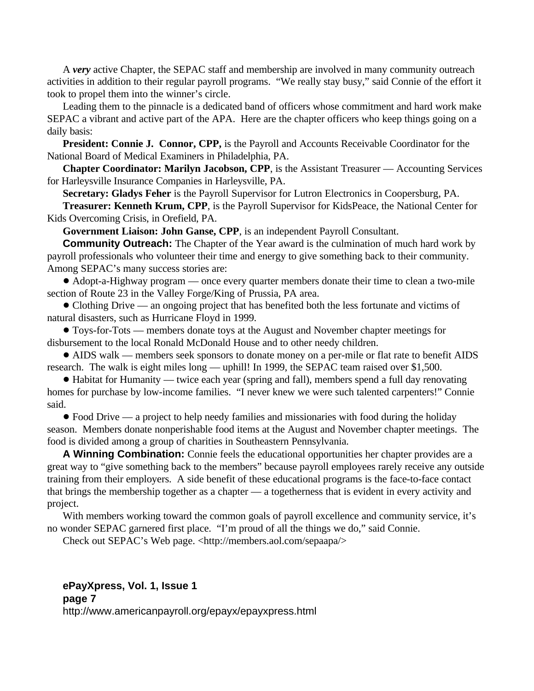A *very* active Chapter, the SEPAC staff and membership are involved in many community outreach activities in addition to their regular payroll programs. "We really stay busy," said Connie of the effort it took to propel them into the winner's circle.

Leading them to the pinnacle is a dedicated band of officers whose commitment and hard work make SEPAC a vibrant and active part of the APA. Here are the chapter officers who keep things going on a daily basis:

**President: Connie J. Connor, CPP,** is the Payroll and Accounts Receivable Coordinator for the National Board of Medical Examiners in Philadelphia, PA.

**Chapter Coordinator: Marilyn Jacobson, CPP**, is the Assistant Treasurer — Accounting Services for Harleysville Insurance Companies in Harleysville, PA.

**Secretary: Gladys Feher** is the Payroll Supervisor for Lutron Electronics in Coopersburg, PA.

**Treasurer: Kenneth Krum, CPP**, is the Payroll Supervisor for KidsPeace, the National Center for Kids Overcoming Crisis, in Orefield, PA.

**Government Liaison: John Ganse, CPP**, is an independent Payroll Consultant.

**Community Outreach:** The Chapter of the Year award is the culmination of much hard work by payroll professionals who volunteer their time and energy to give something back to their community. Among SEPAC's many success stories are:

! Adopt-a-Highway program — once every quarter members donate their time to clean a two-mile section of Route 23 in the Valley Forge/King of Prussia, PA area.

• Clothing Drive — an ongoing project that has benefited both the less fortunate and victims of natural disasters, such as Hurricane Floyd in 1999.

! Toys-for-Tots — members donate toys at the August and November chapter meetings for disbursement to the local Ronald McDonald House and to other needy children.

! AIDS walk — members seek sponsors to donate money on a per-mile or flat rate to benefit AIDS research. The walk is eight miles long — uphill! In 1999, the SEPAC team raised over \$1,500.

! Habitat for Humanity — twice each year (spring and fall), members spend a full day renovating homes for purchase by low-income families. "I never knew we were such talented carpenters!" Connie said.

• Food Drive — a project to help needy families and missionaries with food during the holiday season. Members donate nonperishable food items at the August and November chapter meetings. The food is divided among a group of charities in Southeastern Pennsylvania.

**A Winning Combination:** Connie feels the educational opportunities her chapter provides are a great way to "give something back to the members" because payroll employees rarely receive any outside training from their employers. A side benefit of these educational programs is the face-to-face contact that brings the membership together as a chapter — a togetherness that is evident in every activity and project.

With members working toward the common goals of payroll excellence and community service, it's no wonder SEPAC garnered first place. "I'm proud of all the things we do," said Connie.

Check out SEPAC's Web page. <http://members.aol.com/sepaapa/>

#### **ePayXpress, Vol. 1, Issue 1 page 7**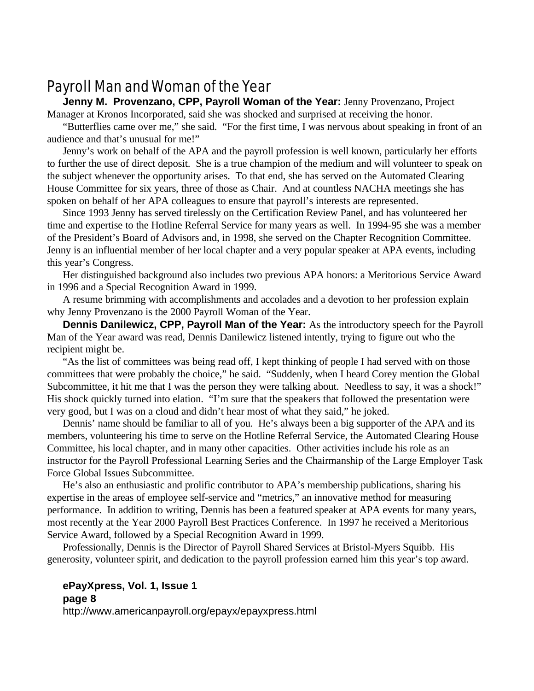# Payroll Man and Woman of the Year

**Jenny M. Provenzano, CPP, Payroll Woman of the Year:** Jenny Provenzano, Project Manager at Kronos Incorporated, said she was shocked and surprised at receiving the honor.

"Butterflies came over me," she said. "For the first time, I was nervous about speaking in front of an audience and that's unusual for me!"

Jenny's work on behalf of the APA and the payroll profession is well known, particularly her efforts to further the use of direct deposit. She is a true champion of the medium and will volunteer to speak on the subject whenever the opportunity arises. To that end, she has served on the Automated Clearing House Committee for six years, three of those as Chair. And at countless NACHA meetings she has spoken on behalf of her APA colleagues to ensure that payroll's interests are represented.

Since 1993 Jenny has served tirelessly on the Certification Review Panel, and has volunteered her time and expertise to the Hotline Referral Service for many years as well. In 1994-95 she was a member of the President's Board of Advisors and, in 1998, she served on the Chapter Recognition Committee. Jenny is an influential member of her local chapter and a very popular speaker at APA events, including this year's Congress.

Her distinguished background also includes two previous APA honors: a Meritorious Service Award in 1996 and a Special Recognition Award in 1999.

A resume brimming with accomplishments and accolades and a devotion to her profession explain why Jenny Provenzano is the 2000 Payroll Woman of the Year.

**Dennis Danilewicz, CPP, Payroll Man of the Year:** As the introductory speech for the Payroll Man of the Year award was read, Dennis Danilewicz listened intently, trying to figure out who the recipient might be.

"As the list of committees was being read off, I kept thinking of people I had served with on those committees that were probably the choice," he said. "Suddenly, when I heard Corey mention the Global Subcommittee, it hit me that I was the person they were talking about. Needless to say, it was a shock!" His shock quickly turned into elation. "I'm sure that the speakers that followed the presentation were very good, but I was on a cloud and didn't hear most of what they said," he joked.

Dennis' name should be familiar to all of you. He's always been a big supporter of the APA and its members, volunteering his time to serve on the Hotline Referral Service, the Automated Clearing House Committee, his local chapter, and in many other capacities. Other activities include his role as an instructor for the Payroll Professional Learning Series and the Chairmanship of the Large Employer Task Force Global Issues Subcommittee.

He's also an enthusiastic and prolific contributor to APA's membership publications, sharing his expertise in the areas of employee self-service and "metrics," an innovative method for measuring performance. In addition to writing, Dennis has been a featured speaker at APA events for many years, most recently at the Year 2000 Payroll Best Practices Conference. In 1997 he received a Meritorious Service Award, followed by a Special Recognition Award in 1999.

Professionally, Dennis is the Director of Payroll Shared Services at Bristol-Myers Squibb. His generosity, volunteer spirit, and dedication to the payroll profession earned him this year's top award.

#### **ePayXpress, Vol. 1, Issue 1 page 8**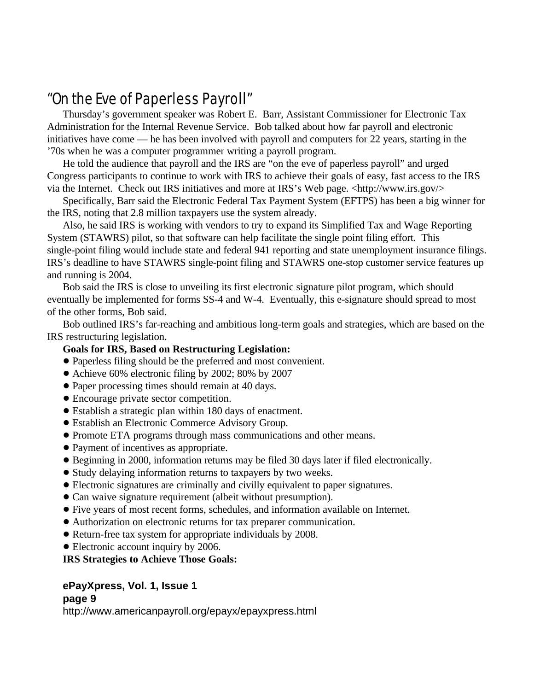# "On the Eve of Paperless Payroll"

Thursday's government speaker was Robert E. Barr, Assistant Commissioner for Electronic Tax Administration for the Internal Revenue Service. Bob talked about how far payroll and electronic initiatives have come — he has been involved with payroll and computers for 22 years, starting in the '70s when he was a computer programmer writing a payroll program.

He told the audience that payroll and the IRS are "on the eve of paperless payroll" and urged Congress participants to continue to work with IRS to achieve their goals of easy, fast access to the IRS via the Internet. Check out IRS initiatives and more at IRS's Web page.  $\langle$ http://www.irs.gov/ $>$ 

Specifically, Barr said the Electronic Federal Tax Payment System (EFTPS) has been a big winner for the IRS, noting that 2.8 million taxpayers use the system already.

Also, he said IRS is working with vendors to try to expand its Simplified Tax and Wage Reporting System (STAWRS) pilot, so that software can help facilitate the single point filing effort. This single-point filing would include state and federal 941 reporting and state unemployment insurance filings. IRS's deadline to have STAWRS single-point filing and STAWRS one-stop customer service features up and running is 2004.

Bob said the IRS is close to unveiling its first electronic signature pilot program, which should eventually be implemented for forms SS-4 and W-4. Eventually, this e-signature should spread to most of the other forms, Bob said.

Bob outlined IRS's far-reaching and ambitious long-term goals and strategies, which are based on the IRS restructuring legislation.

#### **Goals for IRS, Based on Restructuring Legislation:**

- ! Paperless filing should be the preferred and most convenient.
- ! Achieve 60% electronic filing by 2002; 80% by 2007
- Paper processing times should remain at 40 days.
- ! Encourage private sector competition.
- ! Establish a strategic plan within 180 days of enactment.
- ! Establish an Electronic Commerce Advisory Group.
- ! Promote ETA programs through mass communications and other means.
- ! Payment of incentives as appropriate.
- ! Beginning in 2000, information returns may be filed 30 days later if filed electronically.
- ! Study delaying information returns to taxpayers by two weeks.
- ! Electronic signatures are criminally and civilly equivalent to paper signatures.
- Can waive signature requirement (albeit without presumption).
- ! Five years of most recent forms, schedules, and information available on Internet.
- ! Authorization on electronic returns for tax preparer communication.
- ! Return-free tax system for appropriate individuals by 2008.
- Electronic account inquiry by 2006.

**IRS Strategies to Achieve Those Goals:**

#### **ePayXpress, Vol. 1, Issue 1 page 9**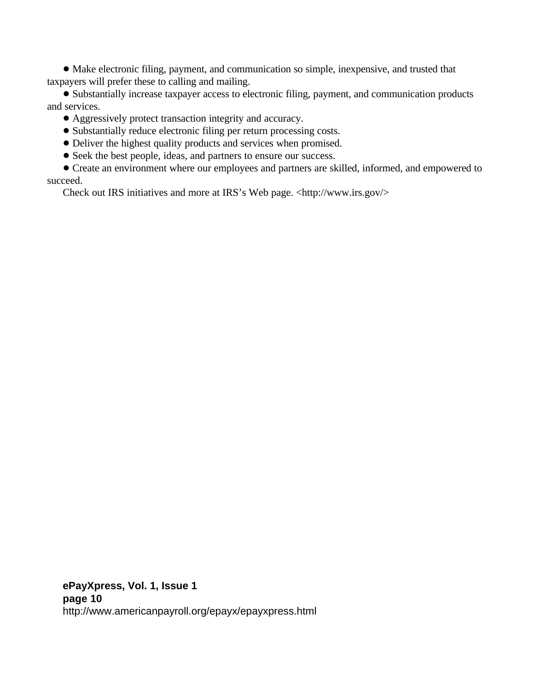! Make electronic filing, payment, and communication so simple, inexpensive, and trusted that taxpayers will prefer these to calling and mailing.

! Substantially increase taxpayer access to electronic filing, payment, and communication products and services.

- ! Aggressively protect transaction integrity and accuracy.
- Substantially reduce electronic filing per return processing costs.
- ! Deliver the highest quality products and services when promised.
- ! Seek the best people, ideas, and partners to ensure our success.

! Create an environment where our employees and partners are skilled, informed, and empowered to succeed.

Check out IRS initiatives and more at IRS's Web page. <http://www.irs.gov/>

**ePayXpress, Vol. 1, Issue 1 page 10** http://www.americanpayroll.org/epayx/epayxpress.html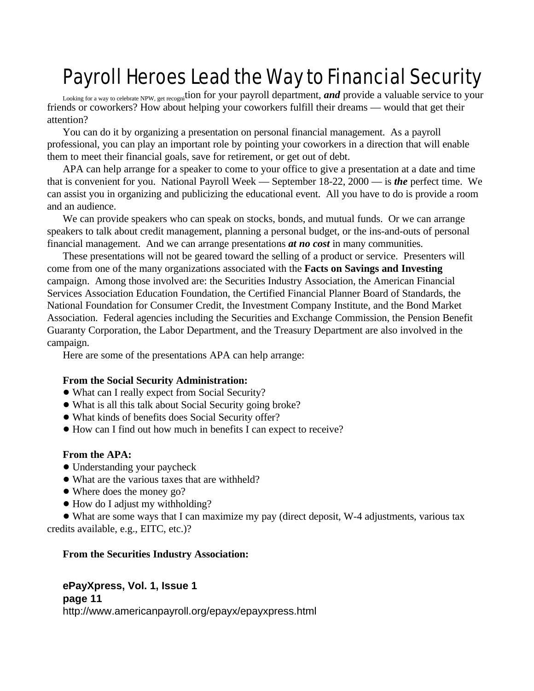# Payroll Heroes Lead the Way to Financial Security

Looking for a way to celebrate NPW, get recognition for your payroll department, **and** provide a valuable service to your friends or coworkers? How about helping your coworkers fulfill their dreams — would that get their attention?

You can do it by organizing a presentation on personal financial management. As a payroll professional, you can play an important role by pointing your coworkers in a direction that will enable them to meet their financial goals, save for retirement, or get out of debt.

APA can help arrange for a speaker to come to your office to give a presentation at a date and time that is convenient for you. National Payroll Week — September 18-22, 2000 — is *the* perfect time. We can assist you in organizing and publicizing the educational event. All you have to do is provide a room and an audience.

We can provide speakers who can speak on stocks, bonds, and mutual funds. Or we can arrange speakers to talk about credit management, planning a personal budget, or the ins-and-outs of personal financial management. And we can arrange presentations *at no cost* in many communities.

These presentations will not be geared toward the selling of a product or service. Presenters will come from one of the many organizations associated with the **Facts on Savings and Investing** campaign. Among those involved are: the Securities Industry Association, the American Financial Services Association Education Foundation, the Certified Financial Planner Board of Standards, the National Foundation for Consumer Credit, the Investment Company Institute, and the Bond Market Association. Federal agencies including the Securities and Exchange Commission, the Pension Benefit Guaranty Corporation, the Labor Department, and the Treasury Department are also involved in the campaign.

Here are some of the presentations APA can help arrange:

#### **From the Social Security Administration:**

- What can I really expect from Social Security?
- ! What is all this talk about Social Security going broke?
- ! What kinds of benefits does Social Security offer?
- ! How can I find out how much in benefits I can expect to receive?

#### **From the APA:**

- Understanding your paycheck
- What are the various taxes that are withheld?
- Where does the money go?
- How do I adjust my withholding?

! What are some ways that I can maximize my pay (direct deposit, W-4 adjustments, various tax credits available, e.g., EITC, etc.)?

#### **From the Securities Industry Association:**

#### **ePayXpress, Vol. 1, Issue 1**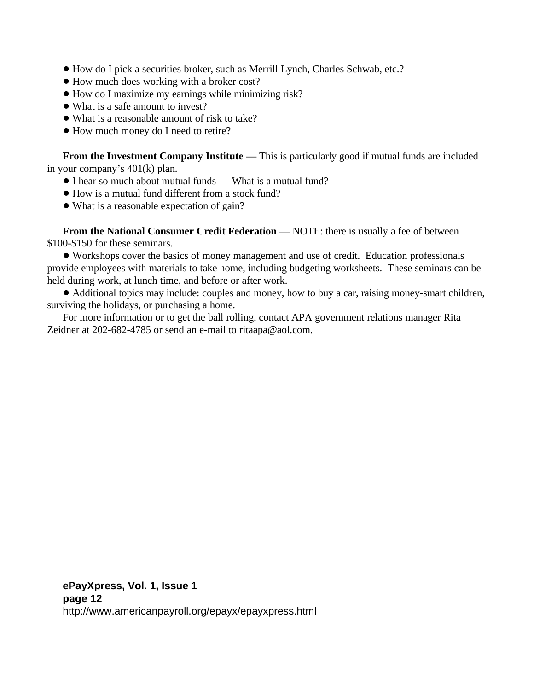- ! How do I pick a securities broker, such as Merrill Lynch, Charles Schwab, etc.?
- ! How much does working with a broker cost?
- ! How do I maximize my earnings while minimizing risk?
- What is a safe amount to invest?
- What is a reasonable amount of risk to take?
- $\bullet$  How much money do I need to retire?

**From the Investment Company Institute — This is particularly good if mutual funds are included** in your company's 401(k) plan.

- I hear so much about mutual funds What is a mutual fund?
- ! How is a mutual fund different from a stock fund?
- What is a reasonable expectation of gain?

**From the National Consumer Credit Federation** — NOTE: there is usually a fee of between \$100-\$150 for these seminars.

! Workshops cover the basics of money management and use of credit. Education professionals provide employees with materials to take home, including budgeting worksheets. These seminars can be held during work, at lunch time, and before or after work.

! Additional topics may include: couples and money, how to buy a car, raising money-smart children, surviving the holidays, or purchasing a home.

For more information or to get the ball rolling, contact APA government relations manager Rita Zeidner at 202-682-4785 or send an e-mail to ritaapa@aol.com.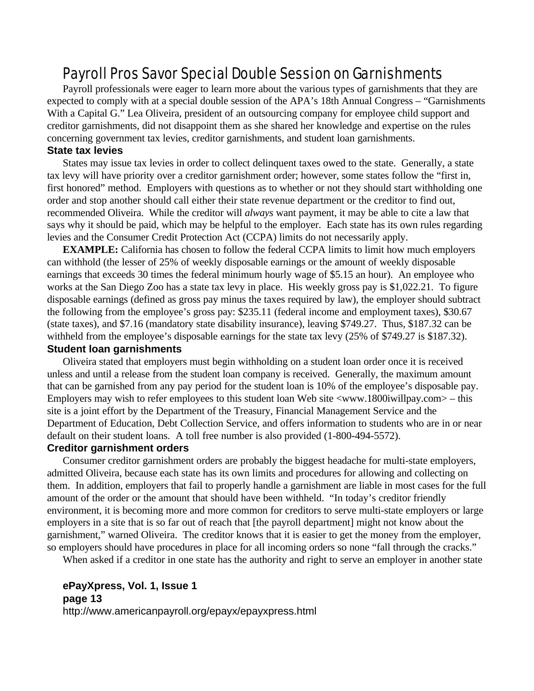# Payroll Pros Savor Special Double Session on Garnishments

Payroll professionals were eager to learn more about the various types of garnishments that they are expected to comply with at a special double session of the APA's 18th Annual Congress – "Garnishments With a Capital G." Lea Oliveira, president of an outsourcing company for employee child support and creditor garnishments, did not disappoint them as she shared her knowledge and expertise on the rules concerning government tax levies, creditor garnishments, and student loan garnishments.

#### **State tax levies**

States may issue tax levies in order to collect delinquent taxes owed to the state. Generally, a state tax levy will have priority over a creditor garnishment order; however, some states follow the "first in, first honored" method. Employers with questions as to whether or not they should start withholding one order and stop another should call either their state revenue department or the creditor to find out, recommended Oliveira. While the creditor will *always* want payment, it may be able to cite a law that says why it should be paid, which may be helpful to the employer. Each state has its own rules regarding levies and the Consumer Credit Protection Act (CCPA) limits do not necessarily apply.

**EXAMPLE:** California has chosen to follow the federal CCPA limits to limit how much employers can withhold (the lesser of 25% of weekly disposable earnings or the amount of weekly disposable earnings that exceeds 30 times the federal minimum hourly wage of \$5.15 an hour). An employee who works at the San Diego Zoo has a state tax levy in place. His weekly gross pay is \$1,022.21. To figure disposable earnings (defined as gross pay minus the taxes required by law), the employer should subtract the following from the employee's gross pay: \$235.11 (federal income and employment taxes), \$30.67 (state taxes), and \$7.16 (mandatory state disability insurance), leaving \$749.27. Thus, \$187.32 can be withheld from the employee's disposable earnings for the state tax levy (25% of \$749.27 is \$187.32). **Student loan garnishments**

#### Oliveira stated that employers must begin withholding on a student loan order once it is received unless and until a release from the student loan company is received. Generally, the maximum amount that can be garnished from any pay period for the student loan is 10% of the employee's disposable pay. Employers may wish to refer employees to this student loan Web site <www.1800iwillpay.com> – this site is a joint effort by the Department of the Treasury, Financial Management Service and the Department of Education, Debt Collection Service, and offers information to students who are in or near

default on their student loans. A toll free number is also provided (1-800-494-5572).

#### **Creditor garnishment orders**

Consumer creditor garnishment orders are probably the biggest headache for multi-state employers, admitted Oliveira, because each state has its own limits and procedures for allowing and collecting on them. In addition, employers that fail to properly handle a garnishment are liable in most cases for the full amount of the order or the amount that should have been withheld. "In today's creditor friendly environment, it is becoming more and more common for creditors to serve multi-state employers or large employers in a site that is so far out of reach that [the payroll department] might not know about the garnishment," warned Oliveira. The creditor knows that it is easier to get the money from the employer, so employers should have procedures in place for all incoming orders so none "fall through the cracks."

When asked if a creditor in one state has the authority and right to serve an employer in another state

#### **ePayXpress, Vol. 1, Issue 1 page 13**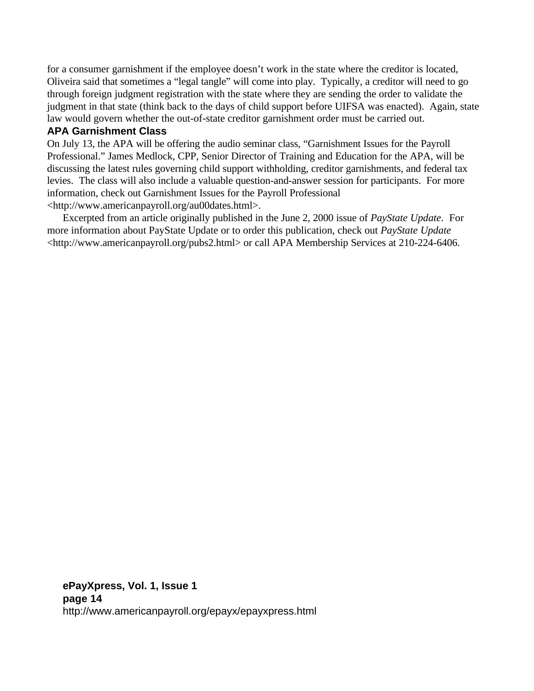for a consumer garnishment if the employee doesn't work in the state where the creditor is located, Oliveira said that sometimes a "legal tangle" will come into play. Typically, a creditor will need to go through foreign judgment registration with the state where they are sending the order to validate the judgment in that state (think back to the days of child support before UIFSA was enacted). Again, state law would govern whether the out-of-state creditor garnishment order must be carried out.

#### **APA Garnishment Class**

On July 13, the APA will be offering the audio seminar class, "Garnishment Issues for the Payroll Professional." James Medlock, CPP, Senior Director of Training and Education for the APA, will be discussing the latest rules governing child support withholding, creditor garnishments, and federal tax levies. The class will also include a valuable question-and-answer session for participants. For more information, check out Garnishment Issues for the Payroll Professional <http://www.americanpayroll.org/au00dates.html>.

Excerpted from an article originally published in the June 2, 2000 issue of *PayState Update*. For more information about PayState Update or to order this publication, check out *PayState Update* <http://www.americanpayroll.org/pubs2.html> or call APA Membership Services at 210-224-6406.

**ePayXpress, Vol. 1, Issue 1 page 14** http://www.americanpayroll.org/epayx/epayxpress.html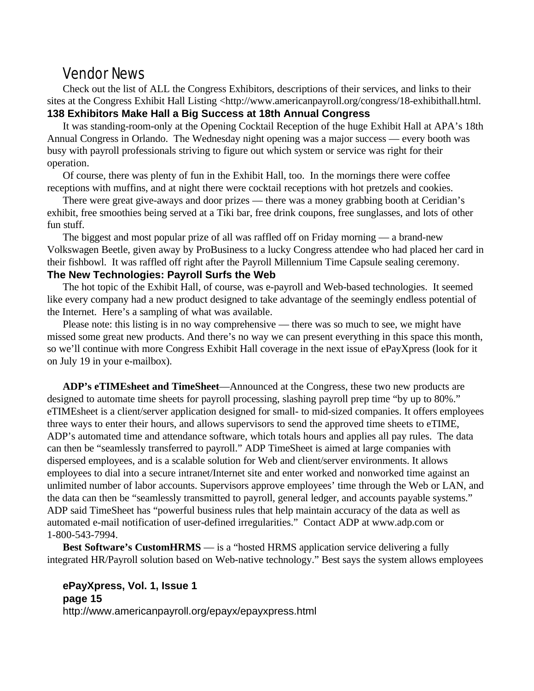## Vendor News

Check out the list of ALL the Congress Exhibitors, descriptions of their services, and links to their sites at the Congress Exhibit Hall Listing <http://www.americanpayroll.org/congress/18-exhibithall.html. **138 Exhibitors Make Hall a Big Success at 18th Annual Congress**

It was standing-room-only at the Opening Cocktail Reception of the huge Exhibit Hall at APA's 18th Annual Congress in Orlando. The Wednesday night opening was a major success — every booth was busy with payroll professionals striving to figure out which system or service was right for their operation.

Of course, there was plenty of fun in the Exhibit Hall, too. In the mornings there were coffee receptions with muffins, and at night there were cocktail receptions with hot pretzels and cookies.

There were great give-aways and door prizes — there was a money grabbing booth at Ceridian's exhibit, free smoothies being served at a Tiki bar, free drink coupons, free sunglasses, and lots of other fun stuff.

The biggest and most popular prize of all was raffled off on Friday morning — a brand-new Volkswagen Beetle, given away by ProBusiness to a lucky Congress attendee who had placed her card in their fishbowl. It was raffled off right after the Payroll Millennium Time Capsule sealing ceremony. **The New Technologies: Payroll Surfs the Web**

The hot topic of the Exhibit Hall, of course, was e-payroll and Web-based technologies. It seemed like every company had a new product designed to take advantage of the seemingly endless potential of the Internet. Here's a sampling of what was available.

Please note: this listing is in no way comprehensive — there was so much to see, we might have missed some great new products. And there's no way we can present everything in this space this month, so we'll continue with more Congress Exhibit Hall coverage in the next issue of ePayXpress (look for it on July 19 in your e-mailbox).

**ADP's eTIMEsheet and TimeSheet**—Announced at the Congress, these two new products are designed to automate time sheets for payroll processing, slashing payroll prep time "by up to 80%." eTIMEsheet is a client/server application designed for small- to mid-sized companies. It offers employees three ways to enter their hours, and allows supervisors to send the approved time sheets to eTIME, ADP's automated time and attendance software, which totals hours and applies all pay rules. The data can then be "seamlessly transferred to payroll." ADP TimeSheet is aimed at large companies with dispersed employees, and is a scalable solution for Web and client/server environments. It allows employees to dial into a secure intranet/Internet site and enter worked and nonworked time against an unlimited number of labor accounts. Supervisors approve employees' time through the Web or LAN, and the data can then be "seamlessly transmitted to payroll, general ledger, and accounts payable systems." ADP said TimeSheet has "powerful business rules that help maintain accuracy of the data as well as automated e-mail notification of user-defined irregularities." Contact ADP at www.adp.com or 1-800-543-7994.

**Best Software's CustomHRMS** — is a "hosted HRMS application service delivering a fully integrated HR/Payroll solution based on Web-native technology." Best says the system allows employees

**ePayXpress, Vol. 1, Issue 1 page 15** http://www.americanpayroll.org/epayx/epayxpress.html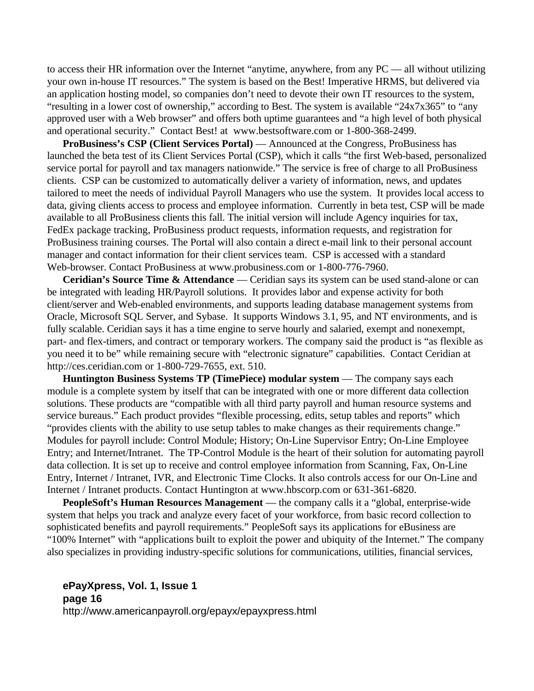to access their HR information over the Internet "anytime, anywhere, from any PC — all without utilizing your own in-house IT resources." The system is based on the Best! Imperative HRMS, but delivered via an application hosting model, so companies don't need to devote their own IT resources to the system, "resulting in a lower cost of ownership," according to Best. The system is available "24x7x365" to "any approved user with a Web browser" and offers both uptime guarantees and "a high level of both physical and operational security." Contact Best! at www.bestsoftware.com or 1-800-368-2499.

**ProBusiness's CSP (Client Services Portal)** — Announced at the Congress, ProBusiness has launched the beta test of its Client Services Portal (CSP), which it calls "the first Web-based, personalized service portal for payroll and tax managers nationwide." The service is free of charge to all ProBusiness clients. CSP can be customized to automatically deliver a variety of information, news, and updates tailored to meet the needs of individual Payroll Managers who use the system. It provides local access to data, giving clients access to process and employee information. Currently in beta test, CSP will be made available to all ProBusiness clients this fall. The initial version will include Agency inquiries for tax, FedEx package tracking, ProBusiness product requests, information requests, and registration for ProBusiness training courses. The Portal will also contain a direct e-mail link to their personal account manager and contact information for their client services team. CSP is accessed with a standard Web-browser. Contact ProBusiness at www.probusiness.com or 1-800-776-7960.

**Ceridian's Source Time & Attendance** — Ceridian says its system can be used stand-alone or can be integrated with leading HR/Payroll solutions. It provides labor and expense activity for both client/server and Web-enabled environments, and supports leading database management systems from Oracle, Microsoft SQL Server, and Sybase. It supports Windows 3.1, 95, and NT environments, and is fully scalable. Ceridian says it has a time engine to serve hourly and salaried, exempt and nonexempt, part- and flex-timers, and contract or temporary workers. The company said the product is "as flexible as you need it to be" while remaining secure with "electronic signature" capabilities. Contact Ceridian at http://ces.ceridian.com or 1-800-729-7655, ext. 510.

**Huntington Business Systems TP (TimePiece) modular system** — The company says each module is a complete system by itself that can be integrated with one or more different data collection solutions. These products are "compatible with all third party payroll and human resource systems and service bureaus." Each product provides "flexible processing, edits, setup tables and reports" which "provides clients with the ability to use setup tables to make changes as their requirements change." Modules for payroll include: Control Module; History; On-Line Supervisor Entry; On-Line Employee Entry; and Internet/Intranet. The TP-Control Module is the heart of their solution for automating payroll data collection. It is set up to receive and control employee information from Scanning, Fax, On-Line Entry, Internet / Intranet, IVR, and Electronic Time Clocks. It also controls access for our On-Line and Internet / Intranet products. Contact Huntington at www.hbscorp.com or 631-361-6820.

**PeopleSoft's Human Resources Management** — the company calls it a "global, enterprise-wide system that helps you track and analyze every facet of your workforce, from basic record collection to sophisticated benefits and payroll requirements." PeopleSoft says its applications for eBusiness are "100% Internet" with "applications built to exploit the power and ubiquity of the Internet." The company also specializes in providing industry-specific solutions for communications, utilities, financial services,

**ePayXpress, Vol. 1, Issue 1 page 16** http://www.americanpayroll.org/epayx/epayxpress.html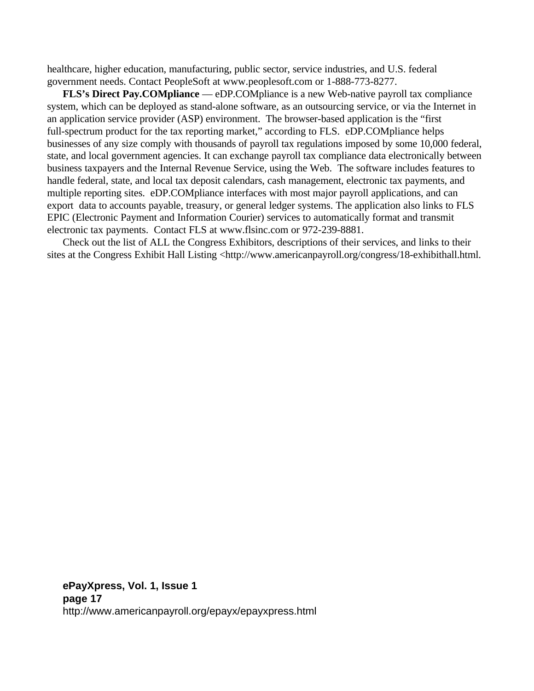healthcare, higher education, manufacturing, public sector, service industries, and U.S. federal government needs. Contact PeopleSoft at www.peoplesoft.com or 1-888-773-8277.

**FLS's Direct Pay.COMpliance** — eDP.COMpliance is a new Web-native payroll tax compliance system, which can be deployed as stand-alone software, as an outsourcing service, or via the Internet in an application service provider (ASP) environment. The browser-based application is the "first full-spectrum product for the tax reporting market," according to FLS. eDP.COMpliance helps businesses of any size comply with thousands of payroll tax regulations imposed by some 10,000 federal, state, and local government agencies. It can exchange payroll tax compliance data electronically between business taxpayers and the Internal Revenue Service, using the Web. The software includes features to handle federal, state, and local tax deposit calendars, cash management, electronic tax payments, and multiple reporting sites. eDP.COMpliance interfaces with most major payroll applications, and can export data to accounts payable, treasury, or general ledger systems. The application also links to FLS EPIC (Electronic Payment and Information Courier) services to automatically format and transmit electronic tax payments. Contact FLS at www.flsinc.com or 972-239-8881.

Check out the list of ALL the Congress Exhibitors, descriptions of their services, and links to their sites at the Congress Exhibit Hall Listing <http://www.americanpayroll.org/congress/18-exhibithall.html.

**ePayXpress, Vol. 1, Issue 1 page 17** http://www.americanpayroll.org/epayx/epayxpress.html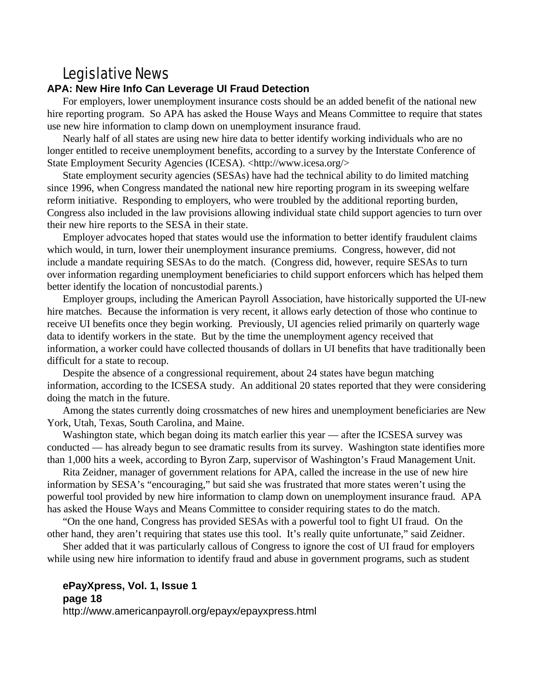## Legislative News

#### **APA: New Hire Info Can Leverage UI Fraud Detection**

For employers, lower unemployment insurance costs should be an added benefit of the national new hire reporting program. So APA has asked the House Ways and Means Committee to require that states use new hire information to clamp down on unemployment insurance fraud.

Nearly half of all states are using new hire data to better identify working individuals who are no longer entitled to receive unemployment benefits, according to a survey by the Interstate Conference of State Employment Security Agencies (ICESA). <http://www.icesa.org/>

State employment security agencies (SESAs) have had the technical ability to do limited matching since 1996, when Congress mandated the national new hire reporting program in its sweeping welfare reform initiative. Responding to employers, who were troubled by the additional reporting burden, Congress also included in the law provisions allowing individual state child support agencies to turn over their new hire reports to the SESA in their state.

Employer advocates hoped that states would use the information to better identify fraudulent claims which would, in turn, lower their unemployment insurance premiums. Congress, however, did not include a mandate requiring SESAs to do the match. (Congress did, however, require SESAs to turn over information regarding unemployment beneficiaries to child support enforcers which has helped them better identify the location of noncustodial parents.)

Employer groups, including the American Payroll Association, have historically supported the UI-new hire matches. Because the information is very recent, it allows early detection of those who continue to receive UI benefits once they begin working. Previously, UI agencies relied primarily on quarterly wage data to identify workers in the state. But by the time the unemployment agency received that information, a worker could have collected thousands of dollars in UI benefits that have traditionally been difficult for a state to recoup.

Despite the absence of a congressional requirement, about 24 states have begun matching information, according to the ICSESA study. An additional 20 states reported that they were considering doing the match in the future.

Among the states currently doing crossmatches of new hires and unemployment beneficiaries are New York, Utah, Texas, South Carolina, and Maine.

Washington state, which began doing its match earlier this year — after the ICSESA survey was conducted — has already begun to see dramatic results from its survey. Washington state identifies more than 1,000 hits a week, according to Byron Zarp, supervisor of Washington's Fraud Management Unit.

Rita Zeidner, manager of government relations for APA, called the increase in the use of new hire information by SESA's "encouraging," but said she was frustrated that more states weren't using the powerful tool provided by new hire information to clamp down on unemployment insurance fraud. APA has asked the House Ways and Means Committee to consider requiring states to do the match.

"On the one hand, Congress has provided SESAs with a powerful tool to fight UI fraud. On the other hand, they aren't requiring that states use this tool. It's really quite unfortunate," said Zeidner.

Sher added that it was particularly callous of Congress to ignore the cost of UI fraud for employers while using new hire information to identify fraud and abuse in government programs, such as student

#### **ePayXpress, Vol. 1, Issue 1 page 18**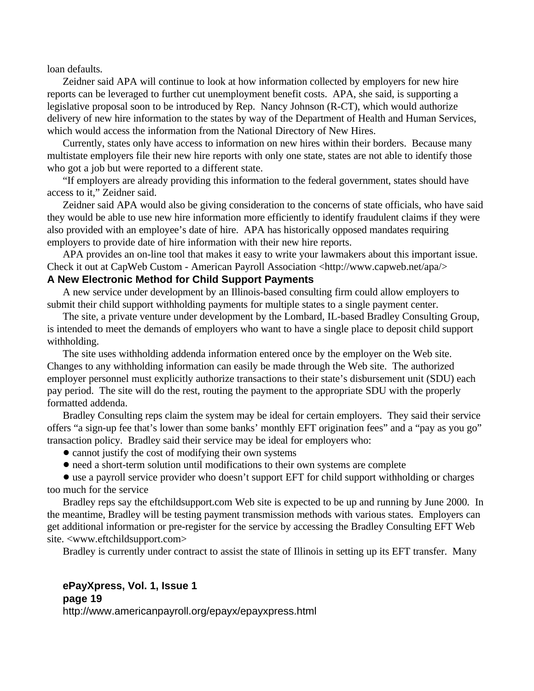loan defaults.

Zeidner said APA will continue to look at how information collected by employers for new hire reports can be leveraged to further cut unemployment benefit costs. APA, she said, is supporting a legislative proposal soon to be introduced by Rep. Nancy Johnson (R-CT), which would authorize delivery of new hire information to the states by way of the Department of Health and Human Services, which would access the information from the National Directory of New Hires.

Currently, states only have access to information on new hires within their borders. Because many multistate employers file their new hire reports with only one state, states are not able to identify those who got a job but were reported to a different state.

"If employers are already providing this information to the federal government, states should have access to it," Zeidner said.

Zeidner said APA would also be giving consideration to the concerns of state officials, who have said they would be able to use new hire information more efficiently to identify fraudulent claims if they were also provided with an employee's date of hire. APA has historically opposed mandates requiring employers to provide date of hire information with their new hire reports.

APA provides an on-line tool that makes it easy to write your lawmakers about this important issue. Check it out at CapWeb Custom - American Payroll Association <http://www.capweb.net/apa/>

#### **A New Electronic Method for Child Support Payments**

A new service under development by an Illinois-based consulting firm could allow employers to submit their child support withholding payments for multiple states to a single payment center.

The site, a private venture under development by the Lombard, IL-based Bradley Consulting Group, is intended to meet the demands of employers who want to have a single place to deposit child support withholding.

The site uses withholding addenda information entered once by the employer on the Web site. Changes to any withholding information can easily be made through the Web site. The authorized employer personnel must explicitly authorize transactions to their state's disbursement unit (SDU) each pay period. The site will do the rest, routing the payment to the appropriate SDU with the properly formatted addenda.

Bradley Consulting reps claim the system may be ideal for certain employers. They said their service offers "a sign-up fee that's lower than some banks' monthly EFT origination fees" and a "pay as you go" transaction policy. Bradley said their service may be ideal for employers who:

- cannot justify the cost of modifying their own systems
- ! need a short-term solution until modifications to their own systems are complete

! use a payroll service provider who doesn't support EFT for child support withholding or charges too much for the service

Bradley reps say the eftchildsupport.com Web site is expected to be up and running by June 2000. In the meantime, Bradley will be testing payment transmission methods with various states. Employers can get additional information or pre-register for the service by accessing the Bradley Consulting EFT Web site. <www.eftchildsupport.com>

Bradley is currently under contract to assist the state of Illinois in setting up its EFT transfer. Many

#### **ePayXpress, Vol. 1, Issue 1 page 19**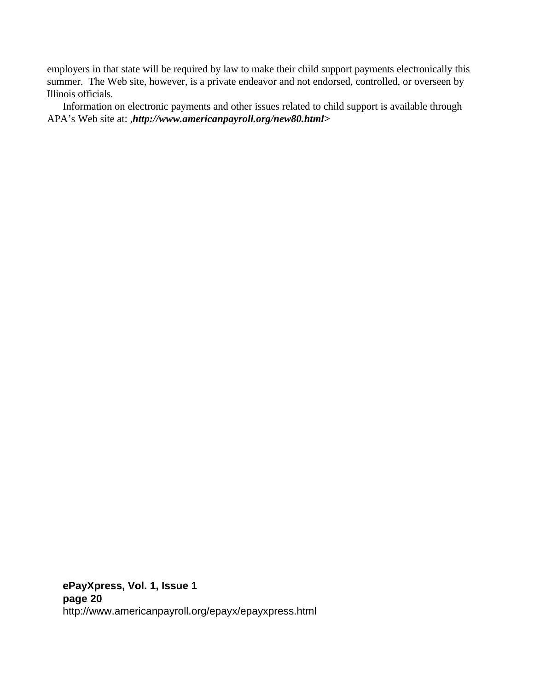employers in that state will be required by law to make their child support payments electronically this summer. The Web site, however, is a private endeavor and not endorsed, controlled, or overseen by Illinois officials.

Information on electronic payments and other issues related to child support is available through APA's Web site at: ,*http://www.americanpayroll.org/new80.html>*

**ePayXpress, Vol. 1, Issue 1 page 20** http://www.americanpayroll.org/epayx/epayxpress.html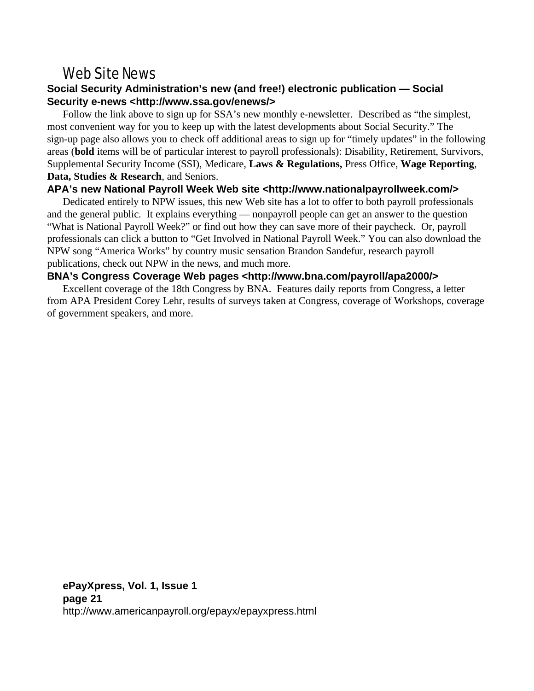### Web Site News

#### **Social Security Administration's new (and free!) electronic publication — Social Security e-news <http://www.ssa.gov/enews/>**

Follow the link above to sign up for SSA's new monthly e-newsletter. Described as "the simplest, most convenient way for you to keep up with the latest developments about Social Security." The sign-up page also allows you to check off additional areas to sign up for "timely updates" in the following areas (**bold** items will be of particular interest to payroll professionals): Disability, Retirement, Survivors, Supplemental Security Income (SSI), Medicare, **Laws & Regulations,** Press Office, **Wage Reporting**, **Data, Studies & Research**, and Seniors.

#### **APA's new National Payroll Week Web site <http://www.nationalpayrollweek.com/>**

Dedicated entirely to NPW issues, this new Web site has a lot to offer to both payroll professionals and the general public. It explains everything — nonpayroll people can get an answer to the question "What is National Payroll Week?" or find out how they can save more of their paycheck. Or, payroll professionals can click a button to "Get Involved in National Payroll Week." You can also download the NPW song "America Works" by country music sensation Brandon Sandefur, research payroll publications, check out NPW in the news, and much more.

#### **BNA's Congress Coverage Web pages <http://www.bna.com/payroll/apa2000/>**

Excellent coverage of the 18th Congress by BNA. Features daily reports from Congress, a letter from APA President Corey Lehr, results of surveys taken at Congress, coverage of Workshops, coverage of government speakers, and more.

**ePayXpress, Vol. 1, Issue 1 page 21** http://www.americanpayroll.org/epayx/epayxpress.html